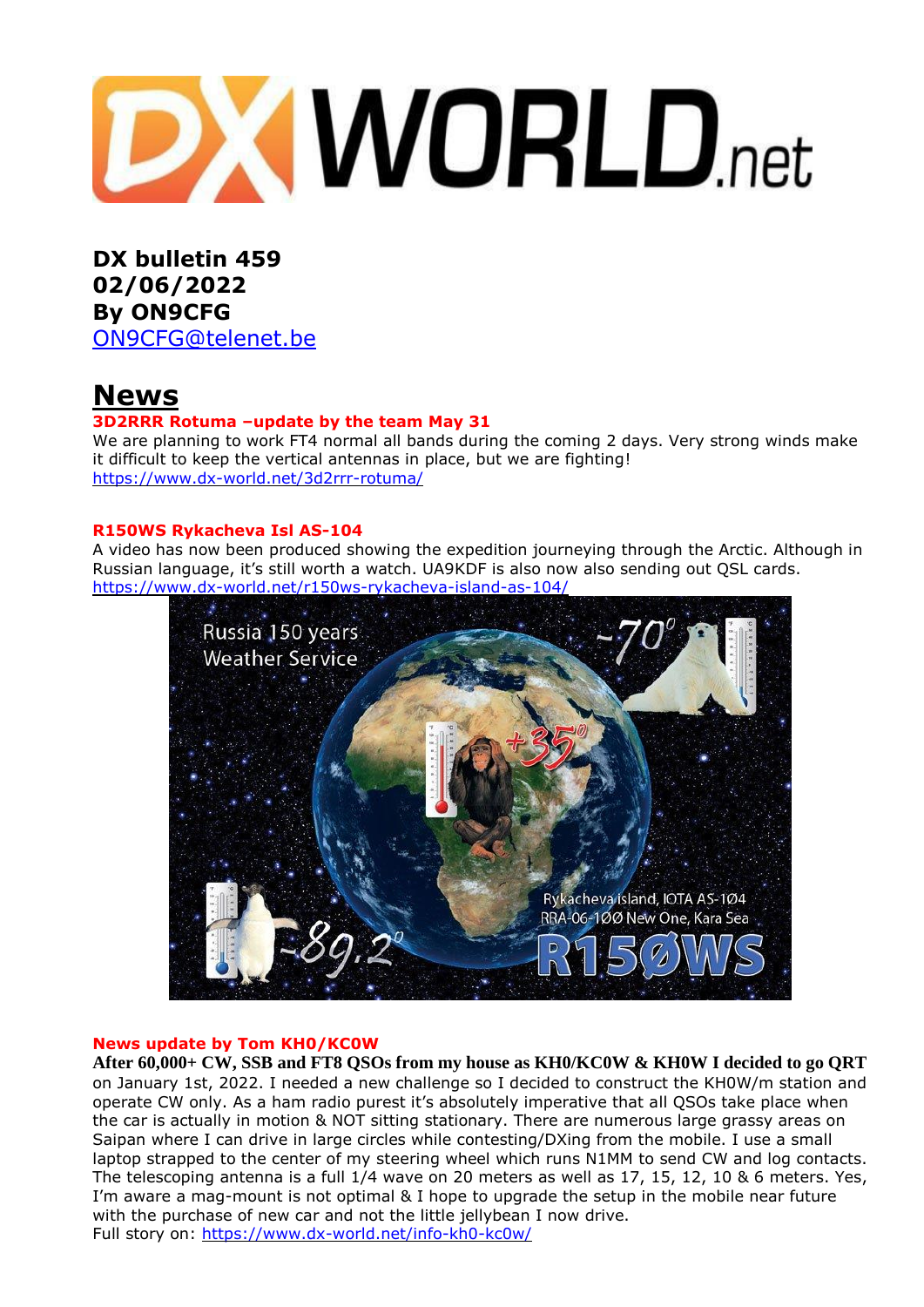# **DXWORLD.net**

**DX bulletin 459 02/06/2022 By ON9CFG** [ON9CFG@telenet.be](mailto:ON9CFG@telenet.be)

# **News**

#### **3D2RRR Rotuma –update by the team May 31**

We are planning to work FT4 normal all bands during the coming 2 days. Very strong winds make it difficult to keep the vertical antennas in place, but we are fighting! <https://www.dx-world.net/3d2rrr-rotuma/>

#### **R150WS Rykacheva Isl AS-104**

A video has now been produced showing the expedition journeying through the Arctic. Although in Russian language, it's still worth a watch. UA9KDF is also now also sending out QSL cards. <https://www.dx-world.net/r150ws-rykacheva-island-as-104/>



#### **News update by Tom KH0/KC0W**

**After 60,000+ CW, SSB and FT8 QSOs from my house as KH0/KC0W & KH0W I decided to go QRT**  on January 1st, 2022. I needed a new challenge so I decided to construct the KH0W/m station and operate CW only. As a ham radio purest it's absolutely imperative that all QSOs take place when the car is actually in motion & NOT sitting stationary. There are numerous large grassy areas on Saipan where I can drive in large circles while contesting/DXing from the mobile. I use a small laptop strapped to the center of my steering wheel which runs N1MM to send CW and log contacts. The telescoping antenna is a full 1/4 wave on 20 meters as well as 17, 15, 12, 10 & 6 meters. Yes, I'm aware a mag-mount is not optimal & I hope to upgrade the setup in the mobile near future with the purchase of new car and not the little jellybean I now drive. Full story on:<https://www.dx-world.net/info-kh0-kc0w/>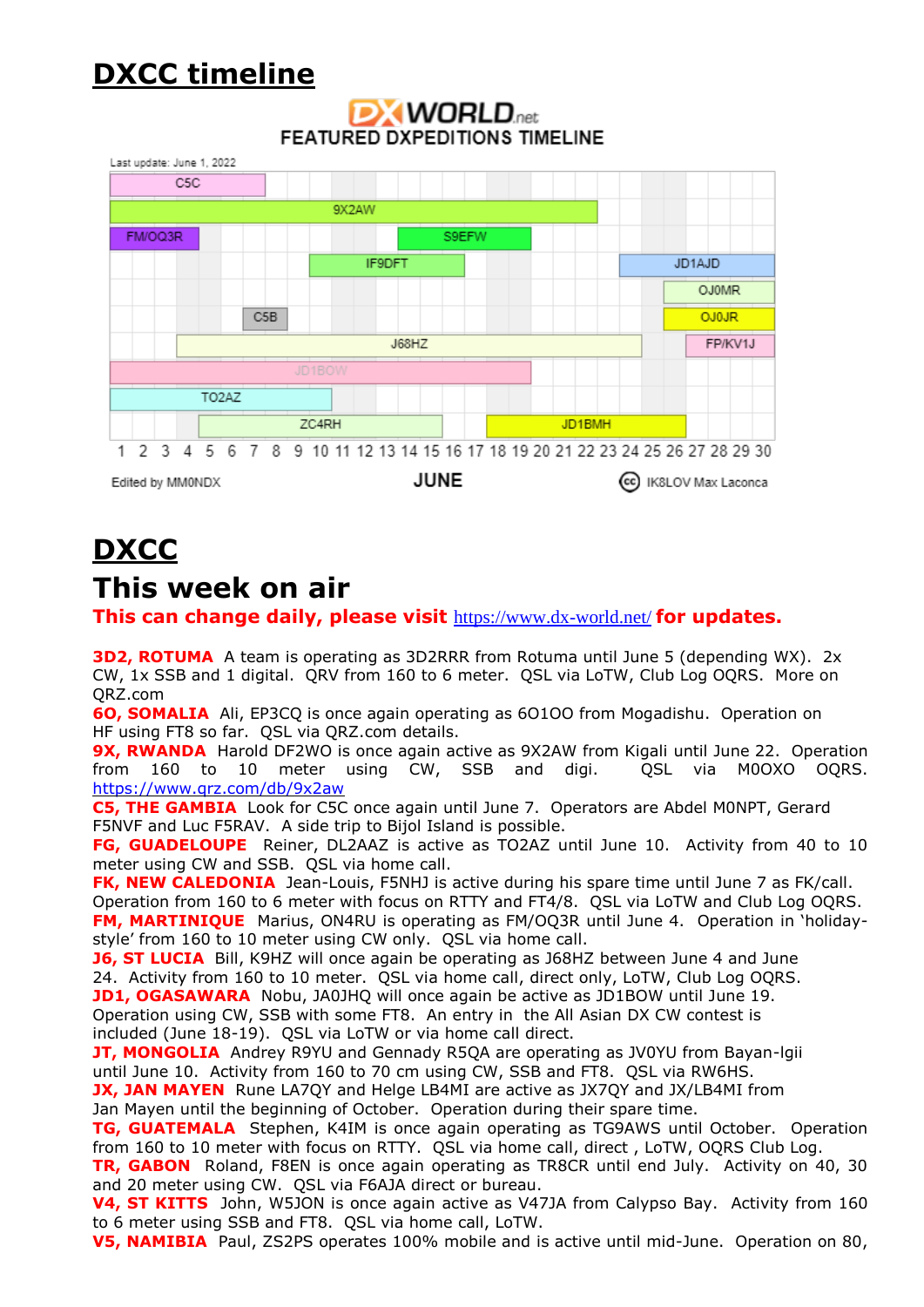# **DXCC timeline**

#### Last update: June 1, 2022 C<sub>5</sub>C 9X2AW FM/OQ3R S9EFW JD1AJD IF9DFT **OJ0MR** C<sub>5</sub>B OJ0JR **J68HZ** FP/KV1J TO<sub>2</sub>AZ ZC4RH JD1BMH 5 6 7 8 9 10 11 12 13 14 15 16 17 18 19 20 21 22 23 24 25 26 27 28 29 30 1 2 3 4 **JUNE** Edited by MM0NDX (cc) IK8LOV Max Laconca

## **DXWORLD**<sub>net</sub> **FEATURED DXPEDITIONS TIMELINE**

# **DXCC**

## **This week on air**

**This can change daily, please visit** <https://www.dx-world.net/> **for updates.**

**3D2, ROTUMA** A team is operating as 3D2RRR from Rotuma until June 5 (depending WX). 2x CW, 1x SSB and 1 digital. QRV from 160 to 6 meter. QSL via LoTW, Club Log OQRS. More on QRZ.com

**6O, SOMALIA** Ali, EP3CQ is once again operating as 6O1OO from Mogadishu. Operation on HF using FT8 so far. QSL via QRZ.com details.

**9X, RWANDA** Harold DF2WO is once again active as 9X2AW from Kigali until June 22. Operation from 160 to 10 meter using CW, SSB and digi. QSL via M0OXO OQRS. <https://www.qrz.com/db/9x2aw>

**C5, THE GAMBIA** Look for C5C once again until June 7. Operators are Abdel M0NPT, Gerard F5NVF and Luc F5RAV. A side trip to Bijol Island is possible.

**FG, GUADELOUPE** Reiner, DL2AAZ is active as TO2AZ until June 10. Activity from 40 to 10 meter using CW and SSB. QSL via home call.

**FK, NEW CALEDONIA** Jean-Louis, F5NHJ is active during his spare time until June 7 as FK/call. Operation from 160 to 6 meter with focus on RTTY and FT4/8. QSL via LoTW and Club Log OQRS. **FM, MARTINIQUE** Marius, ON4RU is operating as FM/OQ3R until June 4. Operation in 'holidaystyle' from 160 to 10 meter using CW only. QSL via home call.

**J6, ST LUCIA** Bill, K9HZ will once again be operating as J68HZ between June 4 and June 24. Activity from 160 to 10 meter. QSL via home call, direct only, LoTW, Club Log OQRS. **JD1, OGASAWARA** Nobu, JA0JHQ will once again be active as JD1BOW until June 19. Operation using CW, SSB with some FT8. An entry in the All Asian DX CW contest is included (June 18-19). QSL via LoTW or via home call direct.

**JT, MONGOLIA** Andrey R9YU and Gennady R5QA are operating as JV0YU from Bayan-Igii until June 10. Activity from 160 to 70 cm using CW, SSB and FT8. QSL via RW6HS.

**JX, JAN MAYEN** Rune LA7QY and Helge LB4MI are active as JX7QY and JX/LB4MI from Jan Mayen until the beginning of October. Operation during their spare time.

**TG, GUATEMALA** Stephen, K4IM is once again operating as TG9AWS until October. Operation from 160 to 10 meter with focus on RTTY. QSL via home call, direct , LoTW, OQRS Club Log.

**TR, GABON** Roland, F8EN is once again operating as TR8CR until end July. Activity on 40, 30 and 20 meter using CW. QSL via F6AJA direct or bureau.

**V4, ST KITTS** John, W5JON is once again active as V47JA from Calypso Bay. Activity from 160 to 6 meter using SSB and FT8. QSL via home call, LoTW.

**V5, NAMIBIA** Paul, ZS2PS operates 100% mobile and is active until mid-June. Operation on 80,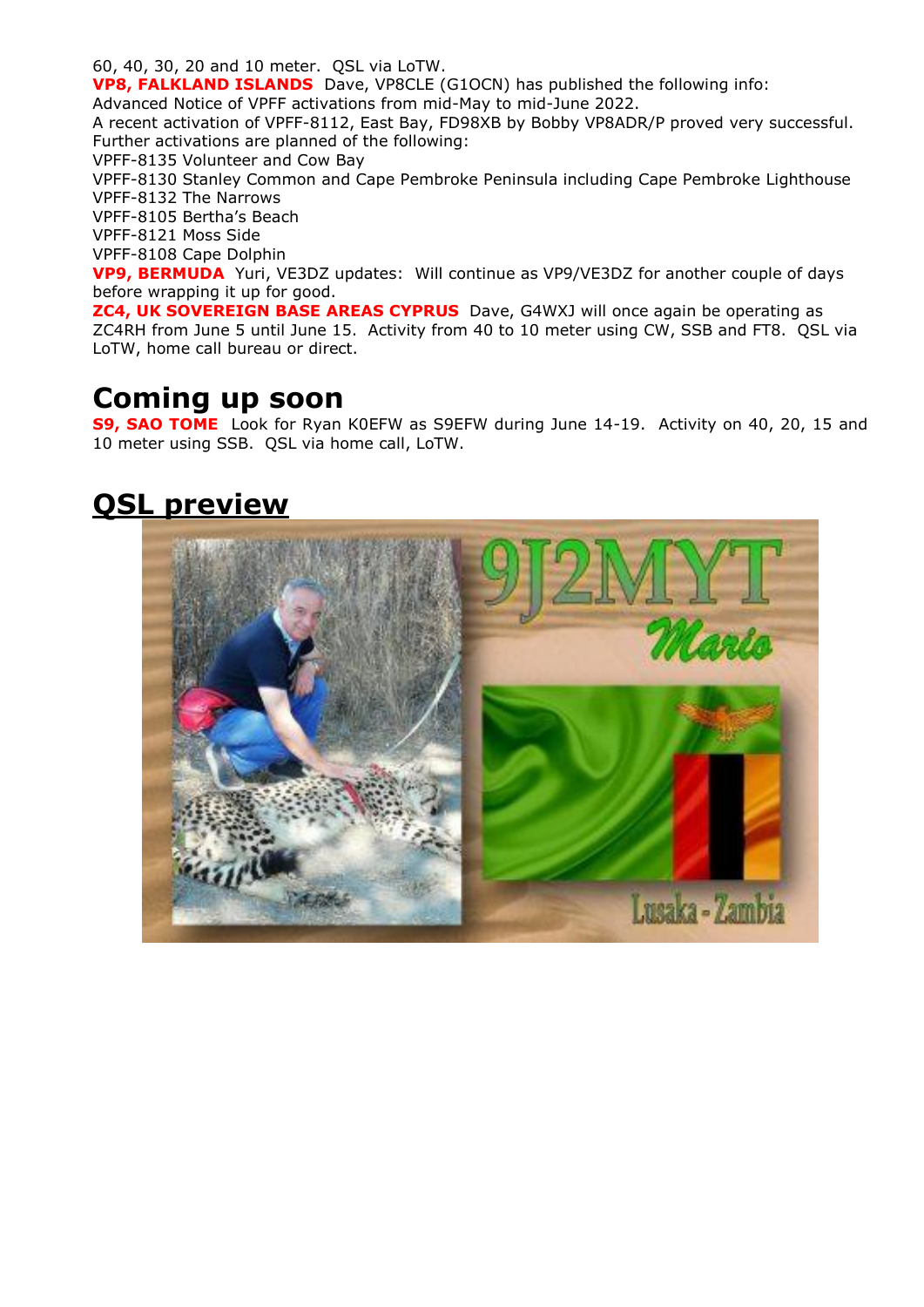60, 40, 30, 20 and 10 meter. QSL via LoTW.

**VP8, FALKLAND ISLANDS** Dave, VP8CLE (G1OCN) has published the following info: Advanced Notice of VPFF activations from mid-May to mid-June 2022.

A recent activation of VPFF-8112, East Bay, FD98XB by Bobby VP8ADR/P proved very successful. Further activations are planned of the following:

VPFF-8135 Volunteer and Cow Bay

VPFF-8130 Stanley Common and Cape Pembroke Peninsula including Cape Pembroke Lighthouse VPFF-8132 The Narrows

VPFF-8105 Bertha's Beach

VPFF-8121 Moss Side

VPFF-8108 Cape Dolphin

**VP9, BERMUDA** Yuri, VE3DZ updates: Will continue as VP9/VE3DZ for another couple of days before wrapping it up for good.

**ZC4, UK SOVEREIGN BASE AREAS CYPRUS** Dave, G4WXJ will once again be operating as ZC4RH from June 5 until June 15. Activity from 40 to 10 meter using CW, SSB and FT8. QSL via LoTW, home call bureau or direct.

## **Coming up soon**

**S9, SAO TOME** Look for Ryan K0EFW as S9EFW during June 14-19. Activity on 40, 20, 15 and 10 meter using SSB. QSL via home call, LoTW.

## **QSL preview**

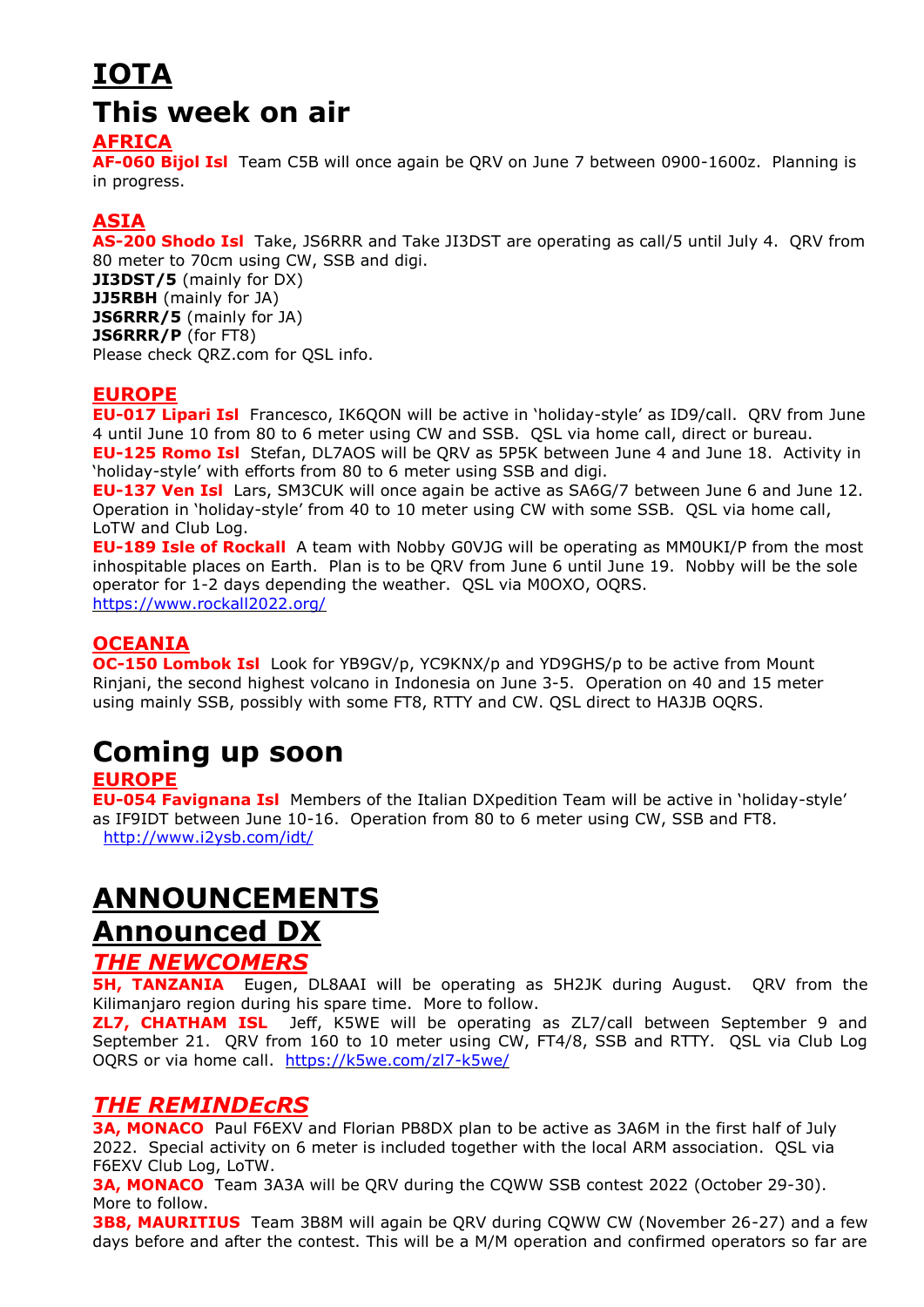# **IOTA This week on air**

## **AFRICA**

**AF-060 Bijol Isl** Team C5B will once again be QRV on June 7 between 0900-1600z. Planning is in progress.

## **ASIA**

**AS-200 Shodo Isl** Take, JS6RRR and Take JI3DST are operating as call/5 until July 4. QRV from 80 meter to 70cm using CW, SSB and digi. **JI3DST/5** (mainly for DX) **JJ5RBH** (mainly for JA) **JS6RRR/5** (mainly for JA) **JS6RRR/P** (for FT8) Please check QRZ.com for QSL info.

## **EUROPE**

**EU-017 Lipari Isl** Francesco, IK6QON will be active in 'holiday-style' as ID9/call. QRV from June 4 until June 10 from 80 to 6 meter using CW and SSB. QSL via home call, direct or bureau. **EU-125 Romo Isl** Stefan, DL7AOS will be QRV as 5P5K between June 4 and June 18. Activity in

'holiday-style' with efforts from 80 to 6 meter using SSB and digi.

**EU-137 Ven Isl** Lars, SM3CUK will once again be active as SA6G/7 between June 6 and June 12. Operation in 'holiday-style' from 40 to 10 meter using CW with some SSB. QSL via home call, LoTW and Club Log.

**EU-189 Isle of Rockall** A team with Nobby G0VJG will be operating as MM0UKI/P from the most inhospitable places on Earth. Plan is to be QRV from June 6 until June 19. Nobby will be the sole operator for 1-2 days depending the weather. QSL via M0OXO, OQRS. <https://www.rockall2022.org/>

## **OCEANIA**

**OC-150 Lombok Isl** Look for YB9GV/p, YC9KNX/p and YD9GHS/p to be active from Mount Rinjani, the second highest volcano in Indonesia on June 3-5. Operation on 40 and 15 meter using mainly SSB, possibly with some FT8, RTTY and CW. QSL direct to HA3JB OQRS.

# **Coming up soon**

## **EUROPE**

**EU-054 Favignana Isl** Members of the Italian DXpedition Team will be active in 'holiday-style' as IF9IDT between June 10-16. Operation from 80 to 6 meter using CW, SSB and FT8. <http://www.i2ysb.com/idt/>

## **ANNOUNCEMENTS Announced DX**

## *THE NEWCOMERS*

**5H, TANZANIA** Eugen, DL8AAI will be operating as 5H2JK during August. QRV from the Kilimanjaro region during his spare time. More to follow.

**ZL7, CHATHAM ISL** Jeff, K5WE will be operating as ZL7/call between September 9 and September 21. QRV from 160 to 10 meter using CW, FT4/8, SSB and RTTY. QSL via Club Log OQRS or via home call. <https://k5we.com/zl7-k5we/>

## *THE REMINDEcRS*

**3A, MONACO** Paul F6EXV and Florian PB8DX plan to be active as 3A6M in the first half of July 2022. Special activity on 6 meter is included together with the local ARM association. QSL via F6EXV Club Log, LoTW.

**3A, MONACO** Team 3A3A will be QRV during the CQWW SSB contest 2022 (October 29-30). More to follow.

**3B8, MAURITIUS** Team 3B8M will again be QRV during CQWW CW (November 26-27) and a few days before and after the contest. This will be a M/M operation and confirmed operators so far are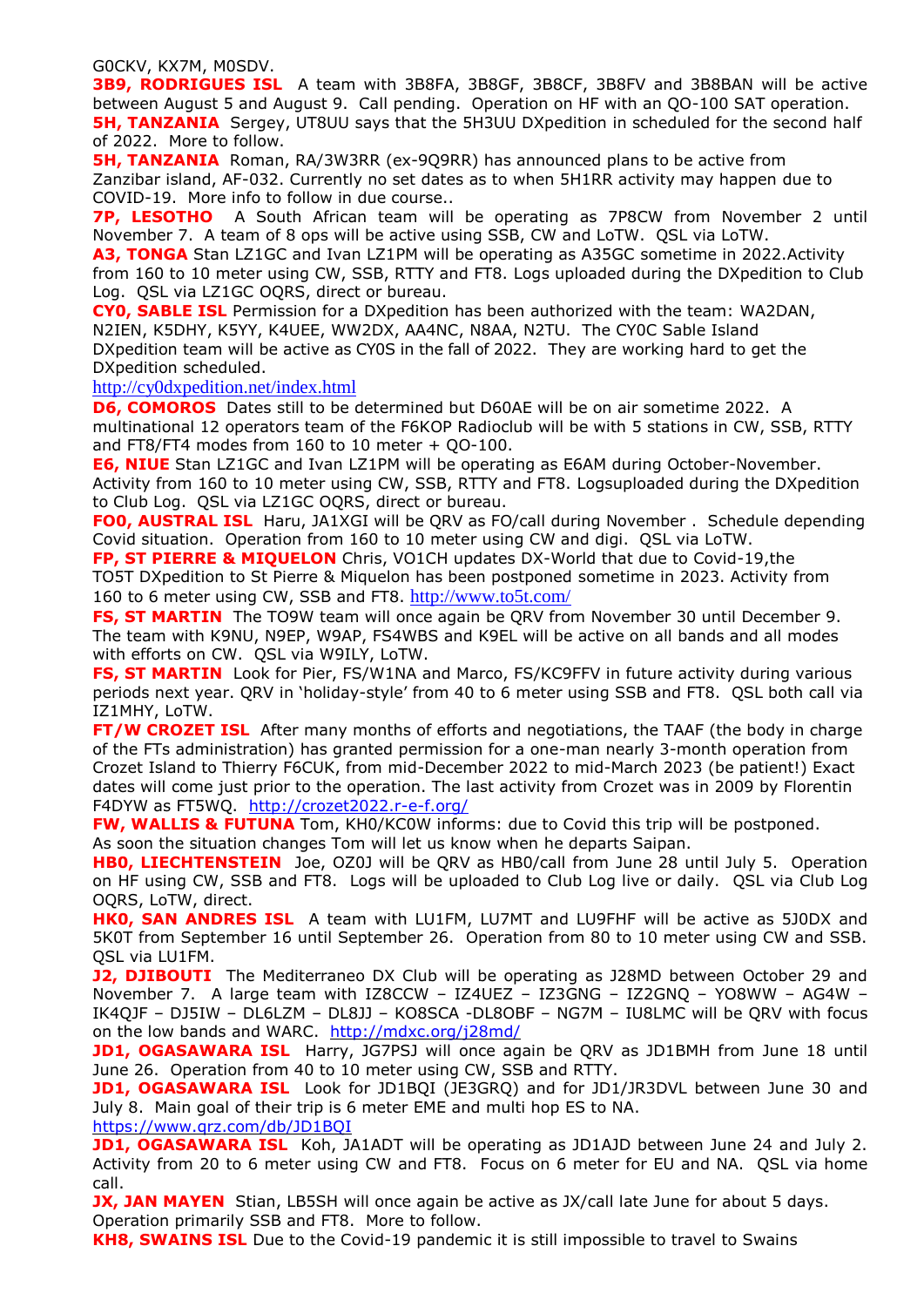G0CKV, KX7M, M0SDV.

**3B9, RODRIGUES ISL** A team with 3B8FA, 3B8GF, 3B8CF, 3B8FV and 3B8BAN will be active between August 5 and August 9. Call pending. Operation on HF with an QO-100 SAT operation. **5H, TANZANIA** Sergey, UT8UU says that the 5H3UU DXpedition in scheduled for the second half of 2022. More to follow.

**5H, TANZANIA** Roman, RA/3W3RR (ex-9Q9RR) has announced plans to be active from Zanzibar island, AF-032. Currently no set dates as to when 5H1RR activity may happen due to COVID-19. More info to follow in due course..

**7P, LESOTHO** A South African team will be operating as 7P8CW from November 2 until November 7. A team of 8 ops will be active using SSB, CW and LoTW. QSL via LoTW.

**A3, TONGA** Stan LZ1GC and Ivan LZ1PM will be operating as A35GC sometime in 2022.Activity from 160 to 10 meter using CW, SSB, RTTY and FT8. Logs uploaded during the DXpedition to Club Log. QSL via LZ1GC OQRS, direct or bureau.

**CY0, SABLE ISL** Permission for a DXpedition has been authorized with the team: WA2DAN, N2IEN, K5DHY, K5YY, K4UEE, WW2DX, AA4NC, N8AA, N2TU. The CY0C Sable Island DXpedition team will be active as CY0S in the fall of 2022. They are working hard to get the DXpedition scheduled.

#### <http://cy0dxpedition.net/index.html>

**D6, COMOROS** Dates still to be determined but D60AE will be on air sometime 2022. A multinational 12 operators team of the F6KOP Radioclub will be with 5 stations in CW, SSB, RTTY and FT8/FT4 modes from 160 to 10 meter + QO-100.

**E6, NIUE** Stan LZ1GC and Ivan LZ1PM will be operating as E6AM during October-November. Activity from 160 to 10 meter using CW, SSB, RTTY and FT8. Logsuploaded during the DXpedition to Club Log. QSL via LZ1GC OQRS, direct or bureau.

**FO0, AUSTRAL ISL** Haru, JA1XGI will be QRV as FO/call during November . Schedule depending Covid situation. Operation from 160 to 10 meter using CW and digi. QSL via LoTW.

**FP, ST PIERRE & MIQUELON** Chris, VO1CH updates DX-World that due to Covid-19,the TO5T DXpedition to St Pierre & Miquelon has been postponed sometime in 2023. Activity from 160 to 6 meter using CW, SSB and FT8. <http://www.to5t.com/>

**FS, ST MARTIN** The TO9W team will once again be QRV from November 30 until December 9. The team with K9NU, N9EP, W9AP, FS4WBS and K9EL will be active on all bands and all modes with efforts on CW. QSL via W9ILY, LoTW.

**FS, ST MARTIN** Look for Pier, FS/W1NA and Marco, FS/KC9FFV in future activity during various periods next year. QRV in 'holiday-style' from 40 to 6 meter using SSB and FT8. QSL both call via IZ1MHY, LoTW.

**FT/W CROZET ISL** After many months of efforts and negotiations, the TAAF (the body in charge of the FTs administration) has granted permission for a one-man nearly 3-month operation from Crozet Island to Thierry F6CUK, from mid-December 2022 to mid-March 2023 (be patient!) Exact dates will come just prior to the operation. The last activity from Crozet was in 2009 by Florentin F4DYW as FT5WQ. <http://crozet2022.r-e-f.org/>

FW, WALLIS & FUTUNA Tom, KH0/KC0W informs: due to Covid this trip will be postponed.

As soon the situation changes Tom will let us know when he departs Saipan.

**HB0, LIECHTENSTEIN** Joe, OZ0J will be QRV as HB0/call from June 28 until July 5. Operation on HF using CW, SSB and FT8. Logs will be uploaded to Club Log live or daily. QSL via Club Log OQRS, LoTW, direct.

**HK0, SAN ANDRES ISL** A team with LU1FM, LU7MT and LU9FHF will be active as 5J0DX and 5K0T from September 16 until September 26. Operation from 80 to 10 meter using CW and SSB. QSL via LU1FM.

**J2, DJIBOUTI** The Mediterraneo DX Club will be operating as J28MD between October 29 and November 7. A large team with IZ8CCW – IZ4UEZ – IZ3GNG – IZ2GNQ – YO8WW – AG4W – IK4QJF – DJ5IW – DL6LZM – DL8JJ – KO8SCA -DL8OBF – NG7M – IU8LMC will be QRV with focus on the low bands and WARC. <http://mdxc.org/j28md/>

**JD1, OGASAWARA ISL** Harry, JG7PSJ will once again be QRV as JD1BMH from June 18 until June 26. Operation from 40 to 10 meter using CW, SSB and RTTY.

**JD1, OGASAWARA ISL** Look for JD1BQI (JE3GRQ) and for JD1/JR3DVL between June 30 and July 8. Main goal of their trip is 6 meter EME and multi hop ES to NA. <https://www.qrz.com/db/JD1BQI>

**JD1, OGASAWARA ISL** Koh, JA1ADT will be operating as JD1AJD between June 24 and July 2. Activity from 20 to 6 meter using CW and FT8. Focus on 6 meter for EU and NA. QSL via home call.

**JX, JAN MAYEN** Stian, LB5SH will once again be active as JX/call late June for about 5 days. Operation primarily SSB and FT8. More to follow.

**KH8, SWAINS ISL** Due to the Covid-19 pandemic it is still impossible to travel to Swains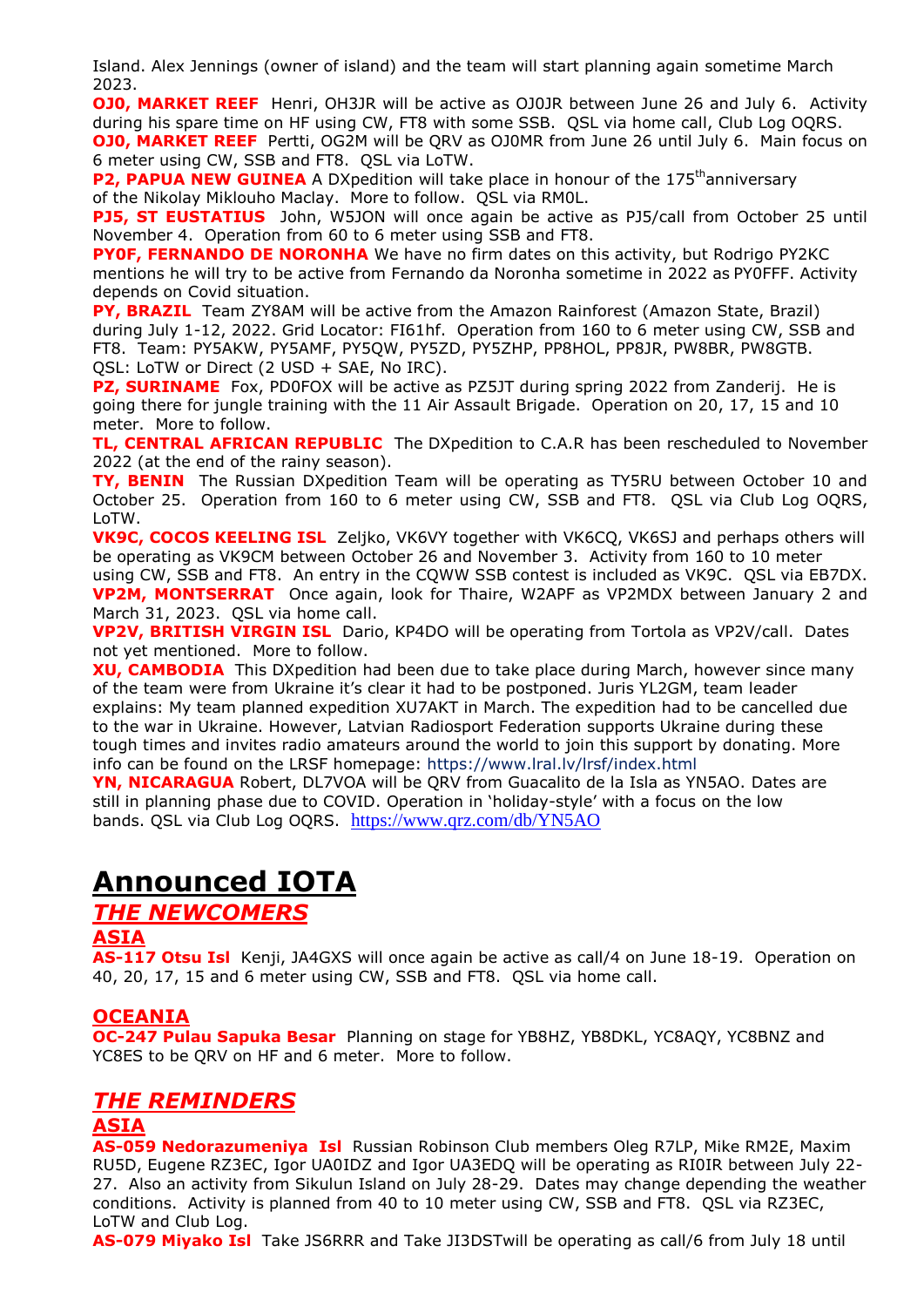Island. Alex Jennings (owner of island) and the team will start planning again sometime March 2023.

**OJ0, MARKET REEF** Henri, OH3JR will be active as OJ0JR between June 26 and July 6. Activity during his spare time on HF using CW, FT8 with some SSB. QSL via home call, Club Log OQRS. **OJ0, MARKET REEF** Pertti, OG2M will be QRV as OJ0MR from June 26 until July 6. Main focus on 6 meter using CW, SSB and FT8. QSL via LoTW.

**P2, PAPUA NEW GUINEA** A DXpedition will take place in honour of the 175<sup>th</sup>anniversary of the Nikolay Miklouho Maclay. More to follow. QSL via RM0L.

**PJ5, ST EUSTATIUS** John, W5JON will once again be active as PJ5/call from October 25 until November 4. Operation from 60 to 6 meter using SSB and FT8.

**PY0F, FERNANDO DE NORONHA** We have no firm dates on this activity, but Rodrigo PY2KC mentions he will try to be active from Fernando da Noronha sometime in 2022 as PY0FFF. Activity depends on Covid situation.

**PY, BRAZIL**Team ZY8AM will be active from the Amazon Rainforest (Amazon State, Brazil) during July 1-12, 2022. Grid Locator: FI61hf. Operation from 160 to 6 meter using CW, SSB and FT8. Team: PY5AKW, PY5AMF, PY5QW, PY5ZD, PY5ZHP, PP8HOL, PP8JR, PW8BR, PW8GTB. QSL: LoTW or Direct (2 USD + SAE, No IRC).

**PZ, SURINAME** Fox, PD0FOX will be active as PZ5JT during spring 2022 from Zanderij. He is going there for jungle training with the 11 Air Assault Brigade. Operation on 20, 17, 15 and 10 meter. More to follow.

**TL, CENTRAL AFRICAN REPUBLIC** The DXpedition to C.A.R has been rescheduled to November 2022 (at the end of the rainy season).

**TY, BENIN** The Russian DXpedition Team will be operating as TY5RU between October 10 and October 25. Operation from 160 to 6 meter using CW, SSB and FT8. QSL via Club Log OQRS, LoTW.

**VK9C, COCOS KEELING ISL** Zeljko, VK6VY together with VK6CQ, VK6SJ and perhaps others will be operating as VK9CM between October 26 and November 3. Activity from 160 to 10 meter using CW, SSB and FT8. An entry in the CQWW SSB contest is included as VK9C. QSL via EB7DX. **VP2M, MONTSERRAT** Once again, look for Thaire, W2APF as VP2MDX between January 2 and March 31, 2023. QSL via home call.

**VP2V, BRITISH VIRGIN ISL** Dario, KP4DO will be operating from Tortola as VP2V/call. Dates not yet mentioned. More to follow.

**XU, CAMBODIA** This DXpedition had been due to take place during March, however since many of the team were from Ukraine it's clear it had to be postponed. Juris YL2GM, team leader explains: My team planned expedition XU7AKT in March. The expedition had to be cancelled due to the war in Ukraine. However, Latvian Radiosport Federation supports Ukraine during these tough times and invites radio amateurs around the world to join this support by donating. More info can be found on the LRSF homepage: <https://www.lral.lv/lrsf/index.html>

**YN, NICARAGUA** Robert, DL7VOA will be QRV from Guacalito de la Isla as YN5AO. Dates are still in planning phase due to COVID. Operation in 'holiday-style' with a focus on the low bands. QSL via Club Log OQRS. <https://www.qrz.com/db/YN5AO>

## **Announced IOTA**

## *THE NEWCOMERS*

## **ASIA**

**AS-117 Otsu Isl** Kenji, JA4GXS will once again be active as call/4 on June 18-19. Operation on 40, 20, 17, 15 and 6 meter using CW, SSB and FT8. QSL via home call.

## **OCEANIA**

**OC-247 Pulau Sapuka Besar** Planning on stage for YB8HZ, YB8DKL, YC8AQY, YC8BNZ and YC8ES to be QRV on HF and 6 meter. More to follow.

## *THE REMINDERS*

## **ASIA**

**AS-059 Nedorazumeniya Isl** Russian Robinson Club members Oleg R7LP, Mike RM2E, Maxim RU5D, Eugene RZ3EC, Igor UA0IDZ and Igor UA3EDQ will be operating as RI0IR between July 22- 27. Also an activity from Sikulun Island on July 28-29. Dates may change depending the weather conditions. Activity is planned from 40 to 10 meter using CW, SSB and FT8. QSL via RZ3EC, LoTW and Club Log.

**AS-079 Miyako Isl** Take JS6RRR and Take JI3DSTwill be operating as call/6 from July 18 until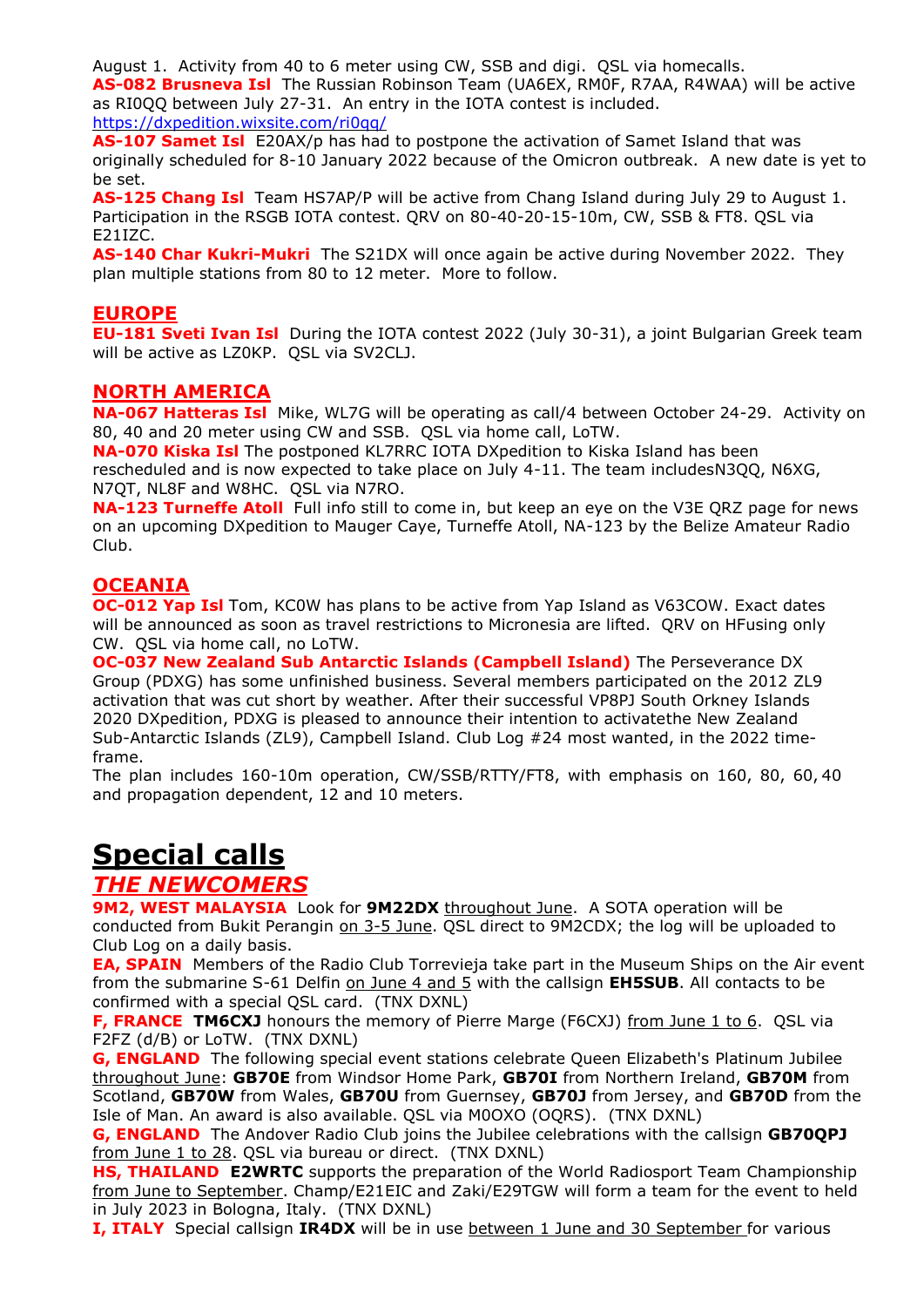August 1. Activity from 40 to 6 meter using CW, SSB and digi. QSL via homecalls. **AS-082 Brusneva Isl** The Russian Robinson Team (UA6EX, RM0F, R7AA, R4WAA) will be active as RI0QQ between July 27-31. An entry in the IOTA contest is included. <https://dxpedition.wixsite.com/ri0qq/>

**AS-107 Samet Isl** E20AX/p has had to postpone the activation of Samet Island that was originally scheduled for 8-10 January 2022 because of the Omicron outbreak. A new date is yet to be set.

**AS-125 Chang Isl** Team HS7AP/P will be active from Chang Island during July 29 to August 1. Participation in the RSGB IOTA contest. QRV on 80-40-20-15-10m, CW, SSB & FT8. QSL via E21IZC.

**AS-140 Char Kukri-Mukri** The S21DX will once again be active during November 2022. They plan multiple stations from 80 to 12 meter. More to follow.

## **EUROPE**

**EU-181 Sveti Ivan Isl** During the IOTA contest 2022 (July 30-31), a joint Bulgarian Greek team will be active as LZ0KP. QSL via SV2CLJ.

## **NORTH AMERICA**

**NA-067 Hatteras Isl** Mike, WL7G will be operating as call/4 between October 24-29. Activity on 80, 40 and 20 meter using CW and SSB. QSL via home call, LoTW.

**NA-070 Kiska Isl** The postponed KL7RRC IOTA DXpedition to Kiska Island has been rescheduled and is now expected to take place on July 4-11. The team includesN3QQ, N6XG, N7QT, NL8F and W8HC. QSL via N7RO.

**NA-123 Turneffe Atoll** Full info still to come in, but keep an eye on the V3E QRZ page for news on an upcoming DXpedition to Mauger Caye, Turneffe Atoll, NA-123 by the Belize Amateur Radio Club.

## **OCEANIA**

**OC-012 Yap Isl** Tom, KC0W has plans to be active from Yap Island as V63COW. Exact dates will be announced as soon as travel restrictions to Micronesia are lifted. QRV on HFusing only CW. QSL via home call, no LoTW.

**OC-037 New Zealand Sub Antarctic Islands (Campbell Island)** The Perseverance DX Group (PDXG) has some unfinished business. Several members participated on the 2012 ZL9 activation that was cut short by weather. After their successful VP8PJ South Orkney Islands 2020 DXpedition, PDXG is pleased to announce their intention to activatethe New Zealand Sub-Antarctic Islands (ZL9), Campbell Island. Club Log #24 most wanted, in the 2022 timeframe.

The plan includes 160-10m operation, CW/SSB/RTTY/FT8, with emphasis on 160, 80, 60, 40 and propagation dependent, 12 and 10 meters.

# **Special calls**

## *THE NEWCOMERS*

**9M2, WEST MALAYSIA** Look for **9M22DX** throughout June. A SOTA operation will be conducted from Bukit Perangin on 3-5 June. QSL direct to 9M2CDX; the log will be uploaded to Club Log on a daily basis.

**EA, SPAIN** Members of the Radio Club Torrevieja take part in the Museum Ships on the Air event from the submarine S-61 Delfin on June 4 and 5 with the callsign **EH5SUB**. All contacts to be confirmed with a special QSL card. (TNX DXNL)

**F, FRANCE TM6CXJ** honours the memory of Pierre Marge (F6CXJ) from June 1 to 6. QSL via F2FZ (d/B) or LoTW. (TNX DXNL)

**G, ENGLAND** The following special event stations celebrate Queen Elizabeth's Platinum Jubilee throughout June: **GB70E** from Windsor Home Park, **GB70I** from Northern Ireland, **GB70M** from Scotland, **GB70W** from Wales, **GB70U** from Guernsey, **GB70J** from Jersey, and **GB70D** from the Isle of Man. An award is also available. QSL via M0OXO (OQRS). (TNX DXNL)

**G, ENGLAND** The Andover Radio Club joins the Jubilee celebrations with the callsign **GB70QPJ** from June 1 to 28. QSL via bureau or direct. (TNX DXNL)

**HS, THAILAND E2WRTC** supports the preparation of the World Radiosport Team Championship from June to September. Champ/E21EIC and Zaki/E29TGW will form a team for the event to held in July 2023 in Bologna, Italy. (TNX DXNL)

**I, ITALY** Special callsign **IR4DX** will be in use between 1 June and 30 September for various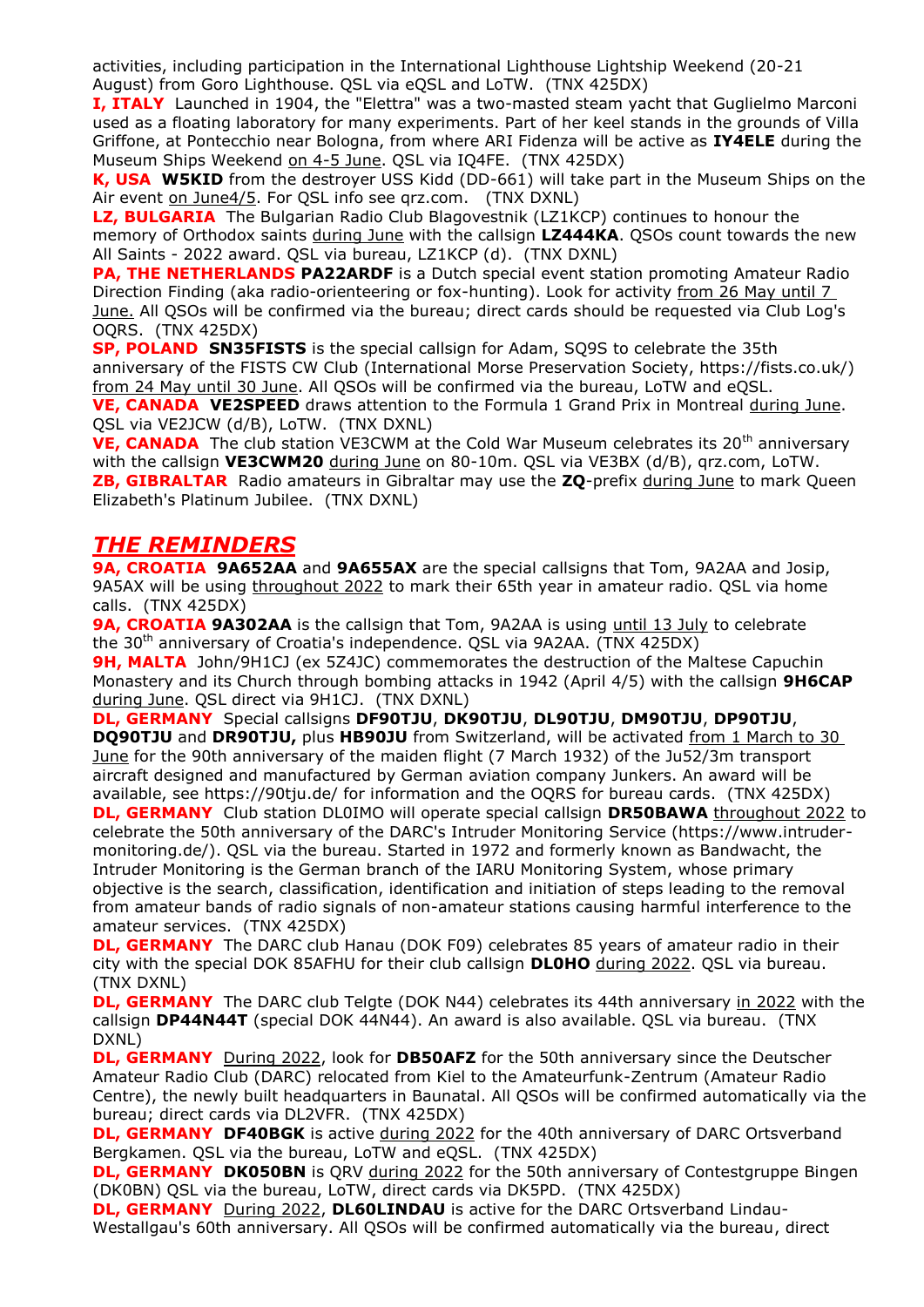activities, including participation in the International Lighthouse Lightship Weekend (20-21 August) from Goro Lighthouse. QSL via eQSL and LoTW. (TNX 425DX)

**I, ITALY** Launched in 1904, the "Elettra" was a two-masted steam yacht that Guglielmo Marconi used as a floating laboratory for many experiments. Part of her keel stands in the grounds of Villa Griffone, at Pontecchio near Bologna, from where ARI Fidenza will be active as **IY4ELE** during the Museum Ships Weekend on 4-5 June. QSL via IQ4FE. (TNX 425DX)

**K, USA W5KID** from the destroyer USS Kidd (DD-661) will take part in the Museum Ships on the Air event on June4/5. For QSL info see qrz.com. (TNX DXNL)

**LZ, BULGARIA** The Bulgarian Radio Club Blagovestnik (LZ1KCP) continues to honour the memory of Orthodox saints during June with the callsign **LZ444KA**. QSOs count towards the new All Saints - 2022 award. QSL via bureau, LZ1KCP (d). (TNX DXNL)

**PA, THE NETHERLANDS PA22ARDF** is a Dutch special event station promoting Amateur Radio Direction Finding (aka radio-orienteering or fox-hunting). Look for activity from 26 May until 7 June. All QSOs will be confirmed via the bureau; direct cards should be requested via Club Log's OQRS. (TNX 425DX)

**SP, POLAND SN35FISTS** is the special callsign for Adam, SQ9S to celebrate the 35th anniversary of the FISTS CW Club (International Morse Preservation Society, https://fists.co.uk/) from 24 May until 30 June. All QSOs will be confirmed via the bureau, LoTW and eQSL.

**VE, CANADA VE2SPEED** draws attention to the Formula 1 Grand Prix in Montreal during June. QSL via VE2JCW (d/B), LoTW. (TNX DXNL)

**VE, CANADA** The club station VE3CWM at the Cold War Museum celebrates its 20<sup>th</sup> anniversary with the callsign **VE3CWM20** during June on 80-10m. QSL via VE3BX (d/B), qrz.com, LoTW. **ZB, GIBRALTAR** Radio amateurs in Gibraltar may use the **ZQ**-prefix during June to mark Queen Elizabeth's Platinum Jubilee. (TNX DXNL)

## *THE REMINDERS*

**9A, CROATIA 9A652AA** and **9A655AX** are the special callsigns that Tom, 9A2AA and Josip, 9A5AX will be using throughout 2022 to mark their 65th year in amateur radio. QSL via home calls. (TNX 425DX)

**9A, CROATIA 9A302AA** is the callsign that Tom, 9A2AA is using until 13 July to celebrate the 30<sup>th</sup> anniversary of Croatia's independence. QSL via 9A2AA. (TNX 425DX)

**9H, MALTA** John/9H1CJ (ex 5Z4JC) commemorates the destruction of the Maltese Capuchin Monastery and its Church through bombing attacks in 1942 (April 4/5) with the callsign **9H6CAP** during June. QSL direct via 9H1CJ. (TNX DXNL)

**DL, GERMANY** Special callsigns **DF90TJU**, **DK90TJU**, **DL90TJU**, **DM90TJU**, **DP90TJU**, **DQ90TJU** and **DR90TJU,** plus **HB90JU** from Switzerland, will be activated from 1 March to 30 June for the 90th anniversary of the maiden flight (7 March 1932) of the Ju52/3m transport aircraft designed and manufactured by German aviation company Junkers. An award will be available, see https://90tju.de/ for information and the OQRS for bureau cards. (TNX 425DX) **DL, GERMANY** Club station DL0IMO will operate special callsign **DR50BAWA** throughout 2022 to

celebrate the 50th anniversary of the DARC's Intruder Monitoring Service (https://www.intrudermonitoring.de/). QSL via the bureau. Started in 1972 and formerly known as Bandwacht, the Intruder Monitoring is the German branch of the IARU Monitoring System, whose primary objective is the search, classification, identification and initiation of steps leading to the removal from amateur bands of radio signals of non-amateur stations causing harmful interference to the amateur services. (TNX 425DX)

**DL, GERMANY** The DARC club Hanau (DOK F09) celebrates 85 years of amateur radio in their city with the special DOK 85AFHU for their club callsign **DL0HO** during 2022. QSL via bureau. (TNX DXNL)

**DL, GERMANY** The DARC club Telgte (DOK N44) celebrates its 44th anniversary in 2022 with the callsign **DP44N44T** (special DOK 44N44). An award is also available. QSL via bureau. (TNX DXNL)

**DL, GERMANY** During 2022, look for **DB50AFZ** for the 50th anniversary since the Deutscher Amateur Radio Club (DARC) relocated from Kiel to the Amateurfunk-Zentrum (Amateur Radio Centre), the newly built headquarters in Baunatal. All QSOs will be confirmed automatically via the bureau; direct cards via DL2VFR. (TNX 425DX)

**DL, GERMANY DF40BGK** is active during 2022 for the 40th anniversary of DARC Ortsverband Bergkamen. QSL via the bureau, LoTW and eQSL. (TNX 425DX)

**DL, GERMANY DK050BN** is QRV during 2022 for the 50th anniversary of Contestgruppe Bingen (DK0BN) QSL via the bureau, LoTW, direct cards via DK5PD. (TNX 425DX)

**DL, GERMANY** During 2022, DL60LINDAU is active for the DARC Ortsverband Lindau-Westallgau's 60th anniversary. All QSOs will be confirmed automatically via the bureau, direct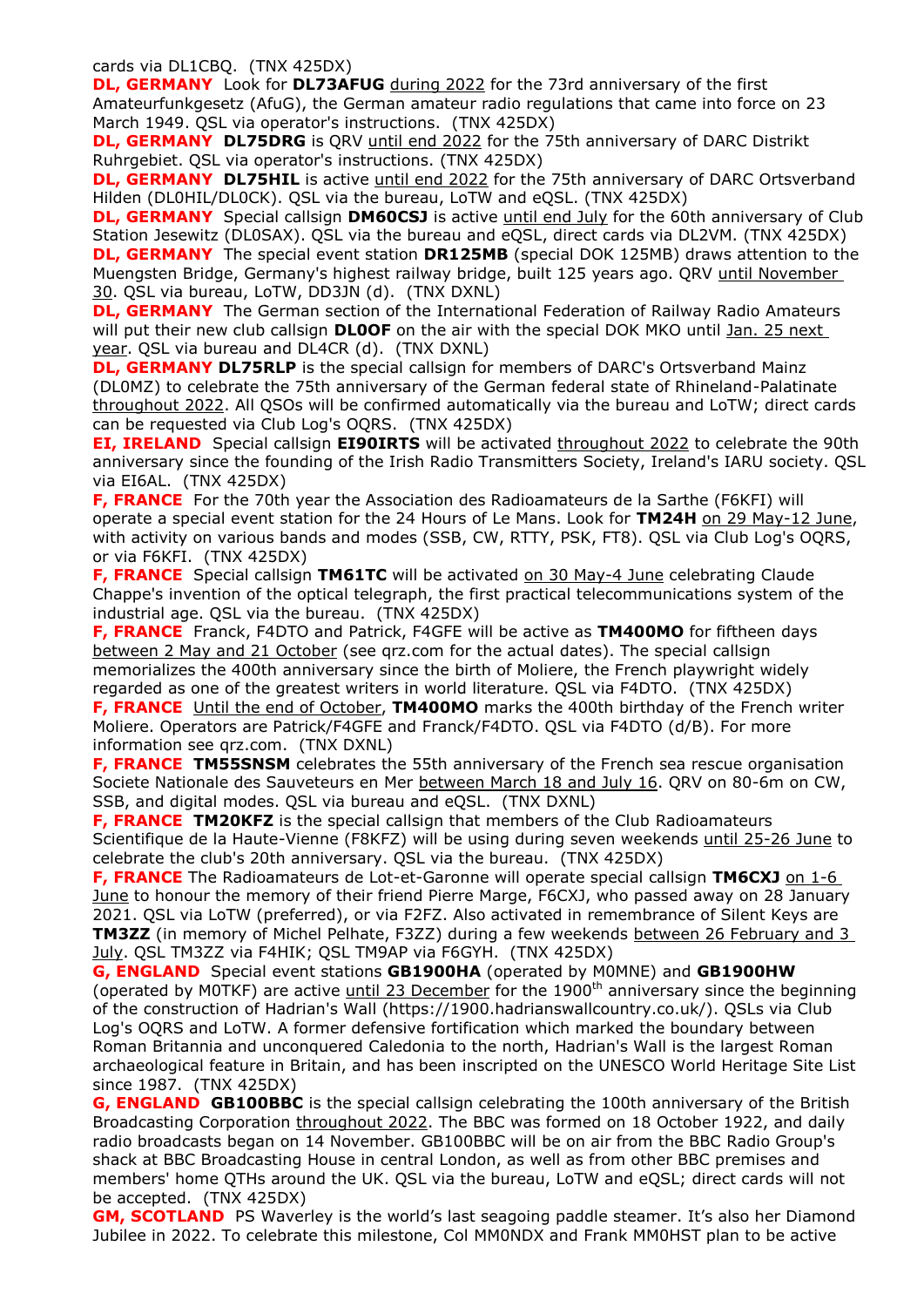cards via DL1CBQ. (TNX 425DX)

**DL, GERMANY** Look for **DL73AFUG** during 2022 for the 73rd anniversary of the first Amateurfunkgesetz (AfuG), the German amateur radio regulations that came into force on 23 March 1949. QSL via operator's instructions. (TNX 425DX)

**DL, GERMANY DL75DRG** is QRV until end 2022 for the 75th anniversary of DARC Distrikt Ruhrgebiet. QSL via operator's instructions. (TNX 425DX)

**DL, GERMANY DL75HIL** is active until end 2022 for the 75th anniversary of DARC Ortsverband Hilden (DL0HIL/DL0CK). QSL via the bureau, LoTW and eQSL. (TNX 425DX)

**DL, GERMANY** Special callsign **DM60CSJ** is active until end July for the 60th anniversary of Club Station Jesewitz (DL0SAX). QSL via the bureau and eQSL, direct cards via DL2VM. (TNX 425DX) **DL, GERMANY** The special event station **DR125MB** (special DOK 125MB) draws attention to the Muengsten Bridge, Germany's highest railway bridge, built 125 years ago. QRV until November 30. QSL via bureau, LoTW, DD3JN (d). (TNX DXNL)

**DL, GERMANY** The German section of the International Federation of Railway Radio Amateurs will put their new club callsign **DL0OF** on the air with the special DOK MKO until Jan. 25 next year. QSL via bureau and DL4CR (d). (TNX DXNL)

**DL, GERMANY DL75RLP** is the special callsign for members of DARC's Ortsverband Mainz (DL0MZ) to celebrate the 75th anniversary of the German federal state of Rhineland-Palatinate throughout 2022. All QSOs will be confirmed automatically via the bureau and LoTW; direct cards can be requested via Club Log's OQRS. (TNX 425DX)

**EI, IRELAND**Special callsign **EI90IRTS** will be activated throughout 2022 to celebrate the 90th anniversary since the founding of the Irish Radio Transmitters Society, Ireland's IARU society. QSL via EI6AL. (TNX 425DX)

**F, FRANCE** For the 70th year the Association des Radioamateurs de la Sarthe (F6KFI) will operate a special event station for the 24 Hours of Le Mans. Look for **TM24H** on 29 May-12 June, with activity on various bands and modes (SSB, CW, RTTY, PSK, FT8). QSL via Club Log's OQRS, or via F6KFI. (TNX 425DX)

**F, FRANCE** Special callsign **TM61TC** will be activated on 30 May-4 June celebrating Claude Chappe's invention of the optical telegraph, the first practical telecommunications system of the industrial age. QSL via the bureau. (TNX 425DX)

**F, FRANCE** Franck, F4DTO and Patrick, F4GFE will be active as **TM400MO** for fiftheen days between 2 May and 21 October (see qrz.com for the actual dates). The special callsign memorializes the 400th anniversary since the birth of Moliere, the French playwright widely regarded as one of the greatest writers in world literature. QSL via F4DTO. (TNX 425DX) **F, FRANCE** Until the end of October, **TM400MO** marks the 400th birthday of the French writer

Moliere. Operators are Patrick/F4GFE and Franck/F4DTO. QSL via F4DTO (d/B). For more information see qrz.com. (TNX DXNL)

**F, FRANCE TM55SNSM** celebrates the 55th anniversary of the French sea rescue organisation Societe Nationale des Sauveteurs en Mer between March 18 and July 16. QRV on 80-6m on CW, SSB, and digital modes. QSL via bureau and eQSL. (TNX DXNL)

**F, FRANCE TM20KFZ** is the special callsign that members of the Club Radioamateurs Scientifique de la Haute-Vienne (F8KFZ) will be using during seven weekends until 25-26 June to celebrate the club's 20th anniversary. QSL via the bureau. (TNX 425DX)

**F, FRANCE** The Radioamateurs de Lot-et-Garonne will operate special callsign TM6CXJ on 1-6 June to honour the memory of their friend Pierre Marge, F6CXJ, who passed away on 28 January 2021. QSL via LoTW (preferred), or via F2FZ. Also activated in remembrance of Silent Keys are **TM3ZZ** (in memory of Michel Pelhate, F3ZZ) during a few weekends between 26 February and 3 July. QSL TM3ZZ via F4HIK; QSL TM9AP via F6GYH. (TNX 425DX)

**G, ENGLAND** Special event stations **GB1900HA** (operated by M0MNE) and **GB1900HW** (operated by M0TKF) are active until 23 December for the 1900<sup>th</sup> anniversary since the beginning of the construction of Hadrian's Wall (https://1900.hadrianswallcountry.co.uk/). QSLs via Club Log's OQRS and LoTW. A former defensive fortification which marked the boundary between Roman Britannia and unconquered Caledonia to the north, Hadrian's Wall is the largest Roman archaeological feature in Britain, and has been inscripted on the UNESCO World Heritage Site List since 1987. (TNX 425DX)

**G, ENGLAND GB100BBC** is the special callsign celebrating the 100th anniversary of the British Broadcasting Corporation throughout 2022. The BBC was formed on 18 October 1922, and daily radio broadcasts began on 14 November. GB100BBC will be on air from the BBC Radio Group's shack at BBC Broadcasting House in central London, as well as from other BBC premises and members' home QTHs around the UK. QSL via the bureau, LoTW and eQSL; direct cards will not be accepted. (TNX 425DX)

**GM, SCOTLAND** PS Waverley is the world's last seagoing paddle steamer. It's also her Diamond Jubilee in 2022. To celebrate this milestone, Col MM0NDX and Frank MM0HST plan to be active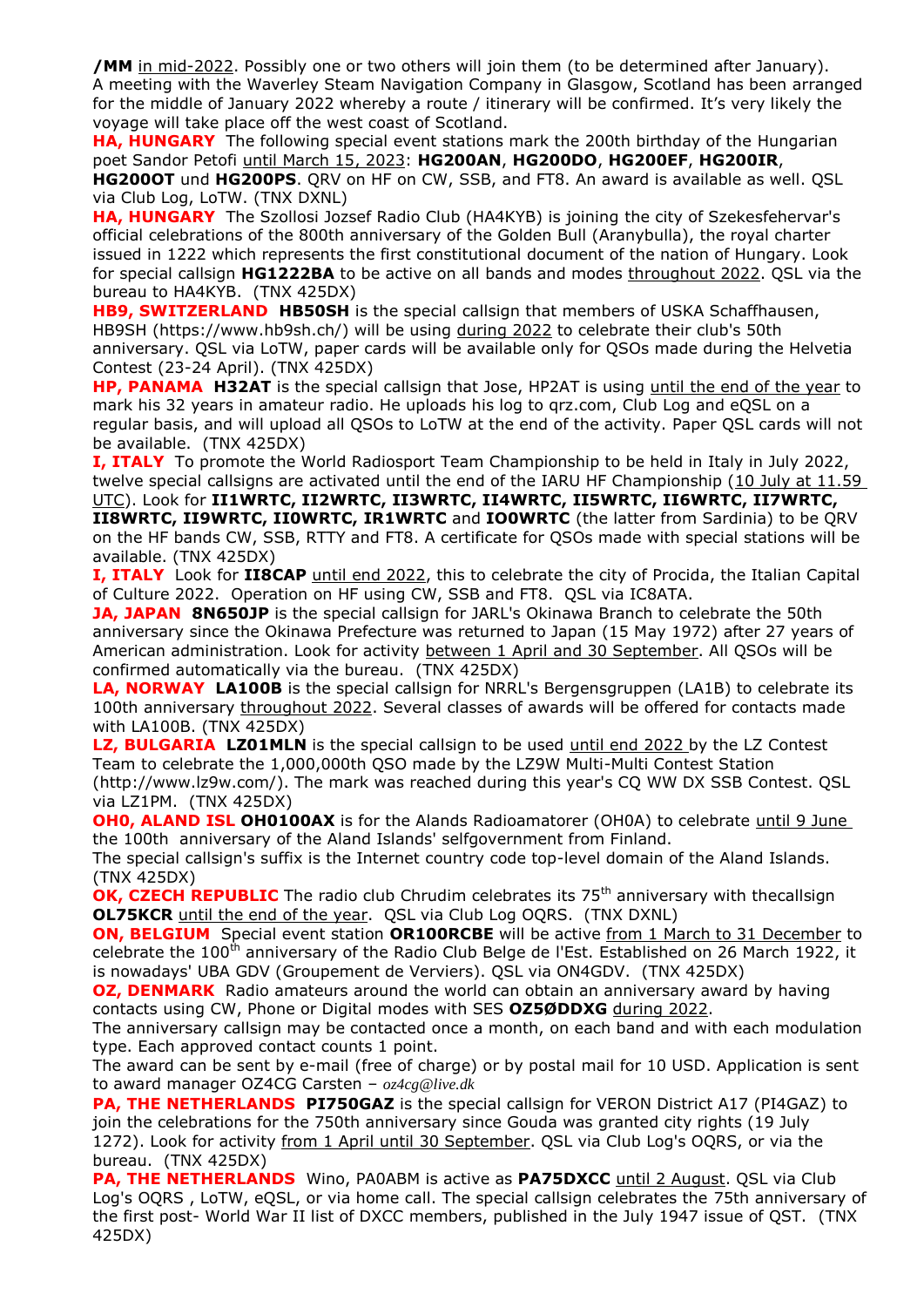**/MM** in mid-2022. Possibly one or two others will join them (to be determined after January). A meeting with the Waverley Steam Navigation Company in Glasgow, Scotland has been arranged for the middle of January 2022 whereby a route / itinerary will be confirmed. It's very likely the voyage will take place off the west coast of Scotland.

**HA, HUNGARY** The following special event stations mark the 200th birthday of the Hungarian poet Sandor Petofi until March 15, 2023: **HG200AN**, **HG200DO**, **HG200EF**, **HG200IR**, **HG200OT** und **HG200PS**. QRV on HF on CW, SSB, and FT8. An award is available as well. QSL via Club Log, LoTW. (TNX DXNL)

**HA, HUNGARY** The Szollosi Jozsef Radio Club (HA4KYB) is joining the city of Szekesfehervar's official celebrations of the 800th anniversary of the Golden Bull (Aranybulla), the royal charter issued in 1222 which represents the first constitutional document of the nation of Hungary. Look for special callsign **HG1222BA** to be active on all bands and modes throughout 2022. QSL via the bureau to HA4KYB. (TNX 425DX)

**HB9, SWITZERLAND HB50SH** is the special callsign that members of USKA Schaffhausen, HB9SH (https://www.hb9sh.ch/) will be using during 2022 to celebrate their club's 50th anniversary. QSL via LoTW, paper cards will be available only for QSOs made during the Helvetia Contest (23-24 April). (TNX 425DX)

**HP, PANAMA H32AT** is the special callsign that Jose, HP2AT is using until the end of the year to mark his 32 years in amateur radio. He uploads his log to qrz.com, Club Log and eQSL on a regular basis, and will upload all QSOs to LoTW at the end of the activity. Paper QSL cards will not be available. (TNX 425DX)

**I, ITALY** To promote the World Radiosport Team Championship to be held in Italy in July 2022, twelve special callsigns are activated until the end of the IARU HF Championship (10 July at 11.59 UTC). Look for **II1WRTC, II2WRTC, II3WRTC, II4WRTC, II5WRTC, II6WRTC, II7WRTC, II8WRTC, II9WRTC, II0WRTC, IR1WRTC** and **IO0WRTC** (the latter from Sardinia) to be QRV on the HF bands CW, SSB, RTTY and FT8. A certificate for QSOs made with special stations will be

available. (TNX 425DX)

**I, ITALY** Look for **II8CAP** until end 2022, this to celebrate the city of Procida, the Italian Capital of Culture 2022. Operation on HF using CW, SSB and FT8. QSL via IC8ATA.

**JA, JAPAN 8N650JP** is the special callsign for JARL's Okinawa Branch to celebrate the 50th anniversary since the Okinawa Prefecture was returned to Japan (15 May 1972) after 27 years of American administration. Look for activity between 1 April and 30 September. All QSOs will be confirmed automatically via the bureau. (TNX 425DX)

**LA, NORWAY LA100B** is the special callsign for NRRL's Bergensgruppen (LA1B) to celebrate its 100th anniversary throughout 2022. Several classes of awards will be offered for contacts made with LA100B. (TNX 425DX)

**LZ, BULGARIA LZ01MLN** is the special callsign to be used until end 2022 by the LZ Contest Team to celebrate the 1,000,000th QSO made by the LZ9W Multi-Multi Contest Station (http://www.lz9w.com/). The mark was reached during this year's CQ WW DX SSB Contest. QSL via LZ1PM. (TNX 425DX)

**OH0, ALAND ISL OH0100AX** is for the Alands Radioamatorer (OH0A) to celebrate until 9 June the 100th anniversary of the Aland Islands' selfgovernment from Finland.

The special callsign's suffix is the Internet country code top-level domain of the Aland Islands. (TNX 425DX)

**OK, CZECH REPUBLIC** The radio club Chrudim celebrates its 75<sup>th</sup> anniversary with thecallsign **OL75KCR** until the end of the year. QSL via Club Log OQRS. (TNX DXNL)

**ON, BELGIUM** Special event station OR100RCBE will be active from 1 March to 31 December to celebrate the 100<sup>th</sup> anniversary of the Radio Club Belge de l'Est. Established on 26 March 1922, it is nowadays' UBA GDV (Groupement de Verviers). QSL via ON4GDV. (TNX 425DX)

**OZ, DENMARK** Radio amateurs around the world can obtain an anniversary award by having contacts using CW, Phone or Digital modes with SES **OZ5ØDDXG** during 2022.

The anniversary callsign may be contacted once a month, on each band and with each modulation type. Each approved contact counts 1 point.

The award can be sent by e-mail (free of charge) or by postal mail for 10 USD. Application is sent to award manager OZ4CG Carsten – *oz4cg@live.dk*

**PA, THE NETHERLANDS PI750GAZ** is the special callsign for VERON District A17 (PI4GAZ) to join the celebrations for the 750th anniversary since Gouda was granted city rights (19 July 1272). Look for activity from 1 April until 30 September. QSL via Club Log's OQRS, or via the bureau. (TNX 425DX)

**PA, THE NETHERLANDS** Wino, PA0ABM is active as **PA75DXCC** until 2 August. QSL via Club Log's OQRS , LoTW, eQSL, or via home call. The special callsign celebrates the 75th anniversary of the first post- World War II list of DXCC members, published in the July 1947 issue of QST. (TNX 425DX)